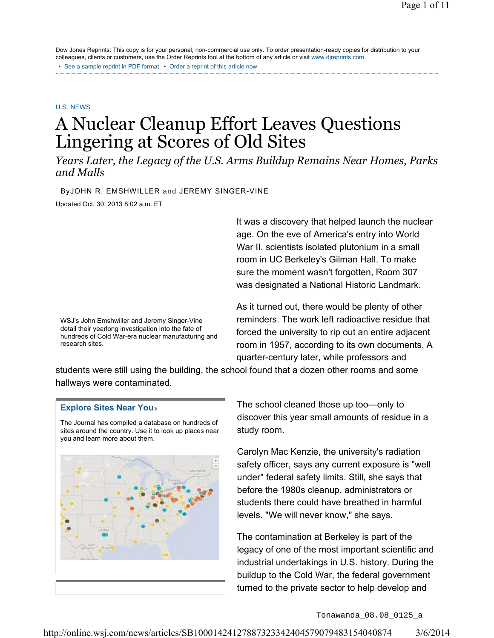Dow Jones Reprints: This copy is for your personal, non-commercial use only. To order presentation-ready copies for distribution to your colleagues, clients or customers, use the Order Reprints tool at the bottom of any article or visit www.djreprints.com

• See a sample reprint in PDF format. • Order a reprint of this article now

### U.S. NEWS

# A Nuclear Cleanup Effort Leaves Questions Lingering at Scores of Old Sites

*Years Later, the Legacy of the U.S. Arms Buildup Remains Near Homes, Parks and Malls*

Updated Oct. 30, 2013 8:02 a.m. ET ByJOHN R. EMSHWILLER and JEREMY SINGER-VINE

> It was a discovery that helped launch the nuclear age. On the eve of America's entry into World War II, scientists isolated plutonium in a small room in UC Berkeley's Gilman Hall. To make sure the moment wasn't forgotten, Room 307 was designated a National Historic Landmark.

WSJ's John Emshwiller and Jeremy Singer-Vine detail their yearlong investigation into the fate of hundreds of Cold War-era nuclear manufacturing and research sites.

As it turned out, there would be plenty of other reminders. The work left radioactive residue that forced the university to rip out an entire adjacent room in 1957, according to its own documents. A quarter-century later, while professors and

students were still using the building, the school found that a dozen other rooms and some hallways were contaminated.

### **Explore Sites Near You**

The Journal has compiled a database on hundreds of sites around the country. Use it to look up places near you and learn more about them.



The school cleaned those up too—only to discover this year small amounts of residue in a study room.

Carolyn Mac Kenzie, the university's radiation safety officer, says any current exposure is "well under" federal safety limits. Still, she says that before the 1980s cleanup, administrators or students there could have breathed in harmful levels. "We will never know," she says.

The contamination at Berkeley is part of the legacy of one of the most important scientific and industrial undertakings in U.S. history. During the buildup to the Cold War, the federal government turned to the private sector to help develop and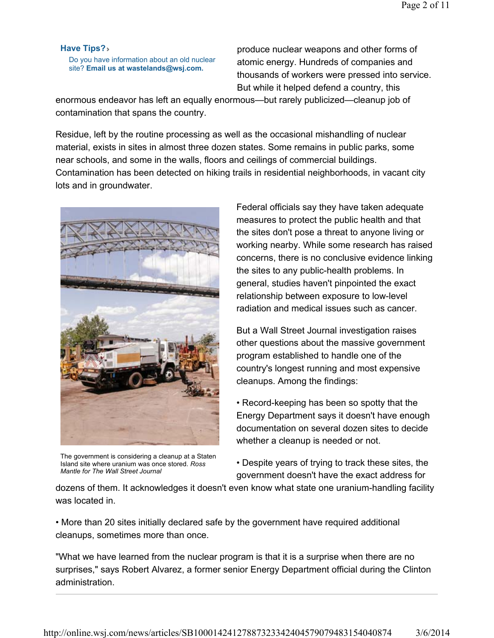### **Have Tips?**

Do you have information about an old nuclear site? **Email us at wastelands@wsj.com.**

produce nuclear weapons and other forms of atomic energy. Hundreds of companies and thousands of workers were pressed into service. But while it helped defend a country, this

enormous endeavor has left an equally enormous—but rarely publicized—cleanup job of contamination that spans the country.

Residue, left by the routine processing as well as the occasional mishandling of nuclear material, exists in sites in almost three dozen states. Some remains in public parks, some near schools, and some in the walls, floors and ceilings of commercial buildings. Contamination has been detected on hiking trails in residential neighborhoods, in vacant city lots and in groundwater.



The government is considering a cleanup at a Staten Island site where uranium was once stored. *Ross Mantle for The Wall Street Journal*

Federal officials say they have taken adequate measures to protect the public health and that the sites don't pose a threat to anyone living or working nearby. While some research has raised concerns, there is no conclusive evidence linking the sites to any public-health problems. In general, studies haven't pinpointed the exact relationship between exposure to low-level radiation and medical issues such as cancer.

But a Wall Street Journal investigation raises other questions about the massive government program established to handle one of the country's longest running and most expensive cleanups. Among the findings:

• Record-keeping has been so spotty that the Energy Department says it doesn't have enough documentation on several dozen sites to decide whether a cleanup is needed or not.

• Despite years of trying to track these sites, the government doesn't have the exact address for

dozens of them. It acknowledges it doesn't even know what state one uranium-handling facility was located in.

• More than 20 sites initially declared safe by the government have required additional cleanups, sometimes more than once.

"What we have learned from the nuclear program is that it is a surprise when there are no surprises," says Robert Alvarez, a former senior Energy Department official during the Clinton administration.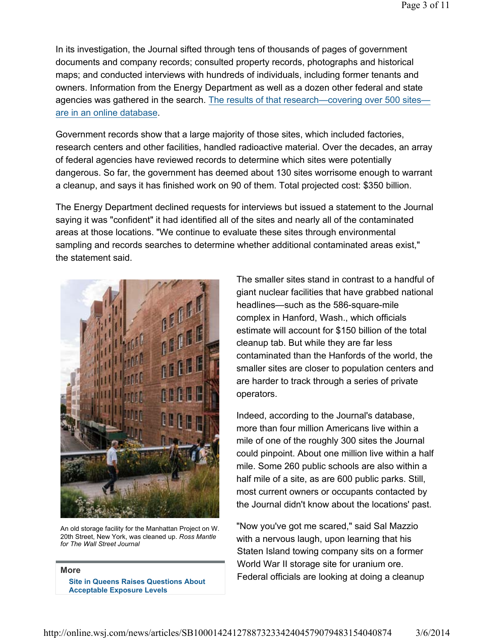In its investigation, the Journal sifted through tens of thousands of pages of government documents and company records; consulted property records, photographs and historical maps; and conducted interviews with hundreds of individuals, including former tenants and owners. Information from the Energy Department as well as a dozen other federal and state agencies was gathered in the search. The results of that research—covering over 500 sites are in an online database.

Government records show that a large majority of those sites, which included factories, research centers and other facilities, handled radioactive material. Over the decades, an array of federal agencies have reviewed records to determine which sites were potentially dangerous. So far, the government has deemed about 130 sites worrisome enough to warrant a cleanup, and says it has finished work on 90 of them. Total projected cost: \$350 billion.

The Energy Department declined requests for interviews but issued a statement to the Journal saying it was "confident" it had identified all of the sites and nearly all of the contaminated areas at those locations. "We continue to evaluate these sites through environmental sampling and records searches to determine whether additional contaminated areas exist," the statement said.



An old storage facility for the Manhattan Project on W. 20th Street, New York, was cleaned up. *Ross Mantle for The Wall Street Journal*

**More**

**Site in Queens Raises Questions About Acceptable Exposure Levels**

The smaller sites stand in contrast to a handful of giant nuclear facilities that have grabbed national headlines—such as the 586-square-mile complex in Hanford, Wash., which officials estimate will account for \$150 billion of the total cleanup tab. But while they are far less contaminated than the Hanfords of the world, the smaller sites are closer to population centers and are harder to track through a series of private operators.

Indeed, according to the Journal's database, more than four million Americans live within a mile of one of the roughly 300 sites the Journal could pinpoint. About one million live within a half mile. Some 260 public schools are also within a half mile of a site, as are 600 public parks. Still, most current owners or occupants contacted by the Journal didn't know about the locations' past.

"Now you've got me scared," said Sal Mazzio with a nervous laugh, upon learning that his Staten Island towing company sits on a former World War II storage site for uranium ore. Federal officials are looking at doing a cleanup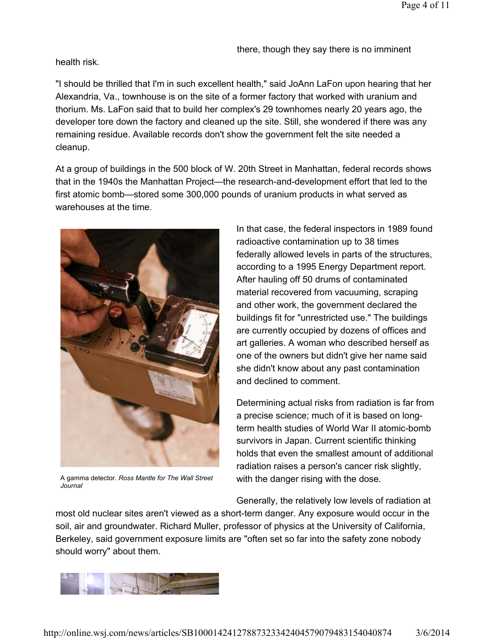there, though they say there is no imminent

health risk.

"I should be thrilled that I'm in such excellent health," said JoAnn LaFon upon hearing that her Alexandria, Va., townhouse is on the site of a former factory that worked with uranium and thorium. Ms. LaFon said that to build her complex's 29 townhomes nearly 20 years ago, the developer tore down the factory and cleaned up the site. Still, she wondered if there was any remaining residue. Available records don't show the government felt the site needed a cleanup.

At a group of buildings in the 500 block of W. 20th Street in Manhattan, federal records shows that in the 1940s the Manhattan Project—the research-and-development effort that led to the first atomic bomb—stored some 300,000 pounds of uranium products in what served as warehouses at the time.



A gamma detector. *Ross Mantle for The Wall Street Journal*

In that case, the federal inspectors in 1989 found radioactive contamination up to 38 times federally allowed levels in parts of the structures, according to a 1995 Energy Department report. After hauling off 50 drums of contaminated material recovered from vacuuming, scraping and other work, the government declared the buildings fit for "unrestricted use." The buildings are currently occupied by dozens of offices and art galleries. A woman who described herself as one of the owners but didn't give her name said she didn't know about any past contamination and declined to comment.

Determining actual risks from radiation is far from a precise science; much of it is based on longterm health studies of World War II atomic-bomb survivors in Japan. Current scientific thinking holds that even the smallest amount of additional radiation raises a person's cancer risk slightly, with the danger rising with the dose.

Generally, the relatively low levels of radiation at

most old nuclear sites aren't viewed as a short-term danger. Any exposure would occur in the soil, air and groundwater. Richard Muller, professor of physics at the University of California, Berkeley, said government exposure limits are "often set so far into the safety zone nobody should worry" about them.

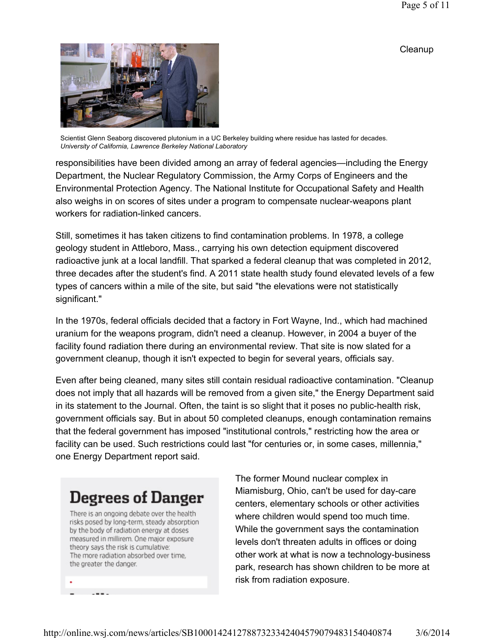**Cleanup** 



Scientist Glenn Seaborg discovered plutonium in a UC Berkeley building where residue has lasted for decades. *University of California, Lawrence Berkeley National Laboratory*

responsibilities have been divided among an array of federal agencies—including the Energy Department, the Nuclear Regulatory Commission, the Army Corps of Engineers and the Environmental Protection Agency. The National Institute for Occupational Safety and Health also weighs in on scores of sites under a program to compensate nuclear-weapons plant workers for radiation-linked cancers.

Still, sometimes it has taken citizens to find contamination problems. In 1978, a college geology student in Attleboro, Mass., carrying his own detection equipment discovered radioactive junk at a local landfill. That sparked a federal cleanup that was completed in 2012, three decades after the student's find. A 2011 state health study found elevated levels of a few types of cancers within a mile of the site, but said "the elevations were not statistically significant."

In the 1970s, federal officials decided that a factory in Fort Wayne, Ind., which had machined uranium for the weapons program, didn't need a cleanup. However, in 2004 a buyer of the facility found radiation there during an environmental review. That site is now slated for a government cleanup, though it isn't expected to begin for several years, officials say.

Even after being cleaned, many sites still contain residual radioactive contamination. "Cleanup does not imply that all hazards will be removed from a given site," the Energy Department said in its statement to the Journal. Often, the taint is so slight that it poses no public-health risk, government officials say. But in about 50 completed cleanups, enough contamination remains that the federal government has imposed "institutional controls," restricting how the area or facility can be used. Such restrictions could last "for centuries or, in some cases, millennia," one Energy Department report said.

## **Degrees of Danger**

There is an ongoing debate over the health risks posed by long-term, steady absorption by the body of radiation energy at doses measured in millirem. One major exposure theory says the risk is cumulative: The more radiation absorbed over time, the greater the danger.

The former Mound nuclear complex in Miamisburg, Ohio, can't be used for day-care centers, elementary schools or other activities where children would spend too much time. While the government says the contamination levels don't threaten adults in offices or doing other work at what is now a technology-business park, research has shown children to be more at risk from radiation exposure.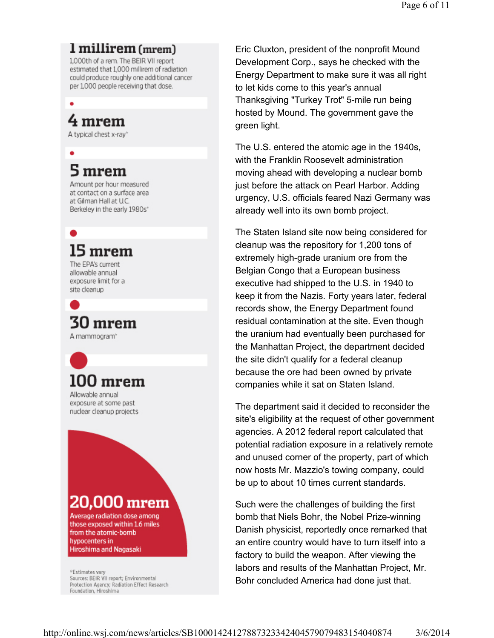## 1 millirem (mrem)

1,000th of a rem. The BEIR VII report estimated that 1,000 millirem of radiation could produce roughly one additional cancer per 1,000 people receiving that dose.

# 4 mrem

A typical chest x-ray<sup>\*</sup>

٠

# 5 mrem

Amount per hour measured at contact on a surface area at Gilman Hall at U.C. Berkeley in the early 1980s°

## 15 mrem

The EPA's current allowable annual exposure limit for a site cleanup

30 mrem A mammogram<sup>®</sup>



Allowable annual exposure at some past nuclear cleanup projects

# 20,000 mrem

Average radiation dose among those exposed within 1.6 miles from the atomic-bomb hypocenters in Hiroshima and Nagasaki

<sup>o</sup>Estimates vary Sources: BEIR VII report; Environmental Protection Agency; Radiation Effect Research Foundation, Hiroshima

Eric Cluxton, president of the nonprofit Mound Development Corp., says he checked with the Energy Department to make sure it was all right to let kids come to this year's annual Thanksgiving "Turkey Trot" 5-mile run being hosted by Mound. The government gave the green light.

The U.S. entered the atomic age in the 1940s, with the Franklin Roosevelt administration moving ahead with developing a nuclear bomb just before the attack on Pearl Harbor. Adding urgency, U.S. officials feared Nazi Germany was already well into its own bomb project.

The Staten Island site now being considered for cleanup was the repository for 1,200 tons of extremely high-grade uranium ore from the Belgian Congo that a European business executive had shipped to the U.S. in 1940 to keep it from the Nazis. Forty years later, federal records show, the Energy Department found residual contamination at the site. Even though the uranium had eventually been purchased for the Manhattan Project, the department decided the site didn't qualify for a federal cleanup because the ore had been owned by private companies while it sat on Staten Island.

The department said it decided to reconsider the site's eligibility at the request of other government agencies. A 2012 federal report calculated that potential radiation exposure in a relatively remote and unused corner of the property, part of which now hosts Mr. Mazzio's towing company, could be up to about 10 times current standards.

Such were the challenges of building the first bomb that Niels Bohr, the Nobel Prize-winning Danish physicist, reportedly once remarked that an entire country would have to turn itself into a factory to build the weapon. After viewing the labors and results of the Manhattan Project, Mr. Bohr concluded America had done just that.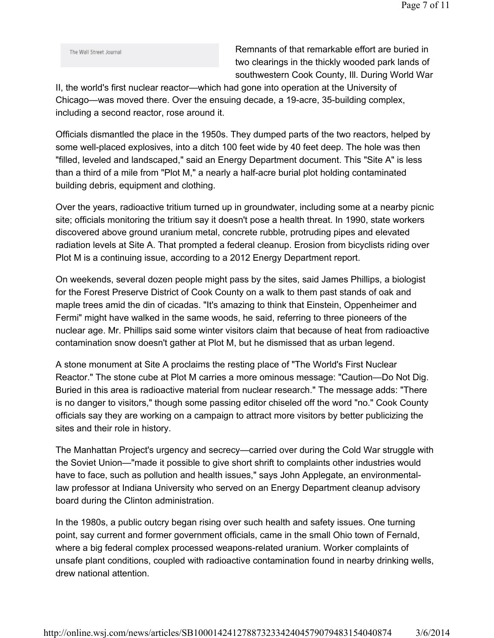The Wall Street Journal

Remnants of that remarkable effort are buried in two clearings in the thickly wooded park lands of southwestern Cook County, Ill. During World War

II, the world's first nuclear reactor—which had gone into operation at the University of Chicago—was moved there. Over the ensuing decade, a 19-acre, 35-building complex, including a second reactor, rose around it.

Officials dismantled the place in the 1950s. They dumped parts of the two reactors, helped by some well-placed explosives, into a ditch 100 feet wide by 40 feet deep. The hole was then "filled, leveled and landscaped," said an Energy Department document. This "Site A" is less than a third of a mile from "Plot M," a nearly a half-acre burial plot holding contaminated building debris, equipment and clothing.

Over the years, radioactive tritium turned up in groundwater, including some at a nearby picnic site; officials monitoring the tritium say it doesn't pose a health threat. In 1990, state workers discovered above ground uranium metal, concrete rubble, protruding pipes and elevated radiation levels at Site A. That prompted a federal cleanup. Erosion from bicyclists riding over Plot M is a continuing issue, according to a 2012 Energy Department report.

On weekends, several dozen people might pass by the sites, said James Phillips, a biologist for the Forest Preserve District of Cook County on a walk to them past stands of oak and maple trees amid the din of cicadas. "It's amazing to think that Einstein, Oppenheimer and Fermi" might have walked in the same woods, he said, referring to three pioneers of the nuclear age. Mr. Phillips said some winter visitors claim that because of heat from radioactive contamination snow doesn't gather at Plot M, but he dismissed that as urban legend.

A stone monument at Site A proclaims the resting place of "The World's First Nuclear Reactor." The stone cube at Plot M carries a more ominous message: "Caution—Do Not Dig. Buried in this area is radioactive material from nuclear research." The message adds: "There is no danger to visitors," though some passing editor chiseled off the word "no." Cook County officials say they are working on a campaign to attract more visitors by better publicizing the sites and their role in history.

The Manhattan Project's urgency and secrecy—carried over during the Cold War struggle with the Soviet Union—"made it possible to give short shrift to complaints other industries would have to face, such as pollution and health issues," says John Applegate, an environmentallaw professor at Indiana University who served on an Energy Department cleanup advisory board during the Clinton administration.

In the 1980s, a public outcry began rising over such health and safety issues. One turning point, say current and former government officials, came in the small Ohio town of Fernald, where a big federal complex processed weapons-related uranium. Worker complaints of unsafe plant conditions, coupled with radioactive contamination found in nearby drinking wells, drew national attention.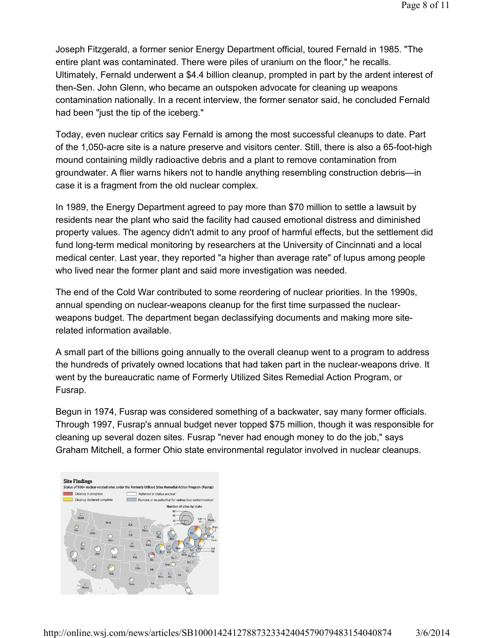Joseph Fitzgerald, a former senior Energy Department official, toured Fernald in 1985. "The entire plant was contaminated. There were piles of uranium on the floor," he recalls. Ultimately, Fernald underwent a \$4.4 billion cleanup, prompted in part by the ardent interest of then-Sen. John Glenn, who became an outspoken advocate for cleaning up weapons contamination nationally. In a recent interview, the former senator said, he concluded Fernald had been "just the tip of the iceberg."

Today, even nuclear critics say Fernald is among the most successful cleanups to date. Part of the 1,050-acre site is a nature preserve and visitors center. Still, there is also a 65-foot-high mound containing mildly radioactive debris and a plant to remove contamination from groundwater. A flier warns hikers not to handle anything resembling construction debris—in case it is a fragment from the old nuclear complex.

In 1989, the Energy Department agreed to pay more than \$70 million to settle a lawsuit by residents near the plant who said the facility had caused emotional distress and diminished property values. The agency didn't admit to any proof of harmful effects, but the settlement did fund long-term medical monitoring by researchers at the University of Cincinnati and a local medical center. Last year, they reported "a higher than average rate" of lupus among people who lived near the former plant and said more investigation was needed.

The end of the Cold War contributed to some reordering of nuclear priorities. In the 1990s, annual spending on nuclear-weapons cleanup for the first time surpassed the nuclearweapons budget. The department began declassifying documents and making more siterelated information available.

A small part of the billions going annually to the overall cleanup went to a program to address the hundreds of privately owned locations that had taken part in the nuclear-weapons drive. It went by the bureaucratic name of Formerly Utilized Sites Remedial Action Program, or Fusrap.

Begun in 1974, Fusrap was considered something of a backwater, say many former officials. Through 1997, Fusrap's annual budget never topped \$75 million, though it was responsible for cleaning up several dozen sites. Fusrap "never had enough money to do the job," says Graham Mitchell, a former Ohio state environmental regulator involved in nuclear cleanups.

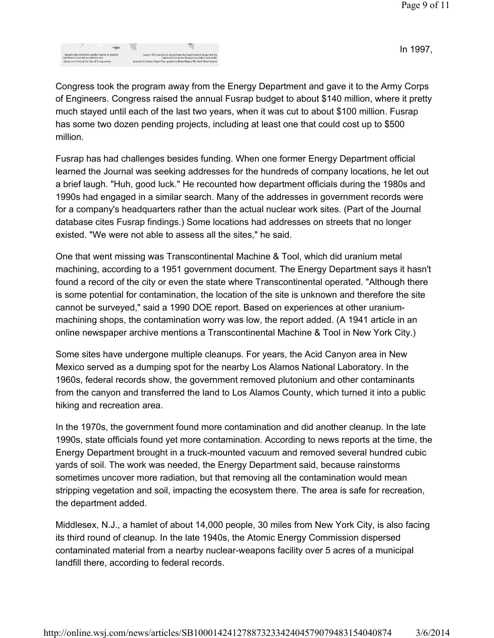|                                                                   | Hawaii |                                                                                 |
|-------------------------------------------------------------------|--------|---------------------------------------------------------------------------------|
| <sup>1</sup> includes sites referred to another agency or program |        | Source: WSJ analysis of records from the Department of Energy and the           |
| and those Fusrap had no authority over                            |        | National Institute for Occupational Safety and Health                           |
| based on criteria at the time of Fusrap review                    |        | Analysis by Jeremy Singer-Vine, graphic by Renée Rigdon/The Wall Street Journal |

In 1997,

Congress took the program away from the Energy Department and gave it to the Army Corps of Engineers. Congress raised the annual Fusrap budget to about \$140 million, where it pretty much stayed until each of the last two years, when it was cut to about \$100 million. Fusrap has some two dozen pending projects, including at least one that could cost up to \$500 million.

Fusrap has had challenges besides funding. When one former Energy Department official learned the Journal was seeking addresses for the hundreds of company locations, he let out a brief laugh. "Huh, good luck." He recounted how department officials during the 1980s and 1990s had engaged in a similar search. Many of the addresses in government records were for a company's headquarters rather than the actual nuclear work sites. (Part of the Journal database cites Fusrap findings.) Some locations had addresses on streets that no longer existed. "We were not able to assess all the sites," he said.

One that went missing was Transcontinental Machine & Tool, which did uranium metal machining, according to a 1951 government document. The Energy Department says it hasn't found a record of the city or even the state where Transcontinental operated. "Although there is some potential for contamination, the location of the site is unknown and therefore the site cannot be surveyed," said a 1990 DOE report. Based on experiences at other uraniummachining shops, the contamination worry was low, the report added. (A 1941 article in an online newspaper archive mentions a Transcontinental Machine & Tool in New York City.)

Some sites have undergone multiple cleanups. For years, the Acid Canyon area in New Mexico served as a dumping spot for the nearby Los Alamos National Laboratory. In the 1960s, federal records show, the government removed plutonium and other contaminants from the canyon and transferred the land to Los Alamos County, which turned it into a public hiking and recreation area.

In the 1970s, the government found more contamination and did another cleanup. In the late 1990s, state officials found yet more contamination. According to news reports at the time, the Energy Department brought in a truck-mounted vacuum and removed several hundred cubic yards of soil. The work was needed, the Energy Department said, because rainstorms sometimes uncover more radiation, but that removing all the contamination would mean stripping vegetation and soil, impacting the ecosystem there. The area is safe for recreation, the department added.

Middlesex, N.J., a hamlet of about 14,000 people, 30 miles from New York City, is also facing its third round of cleanup. In the late 1940s, the Atomic Energy Commission dispersed contaminated material from a nearby nuclear-weapons facility over 5 acres of a municipal landfill there, according to federal records.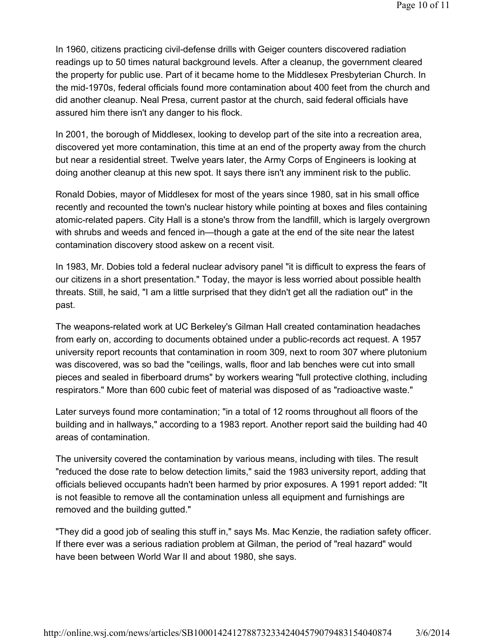In 1960, citizens practicing civil-defense drills with Geiger counters discovered radiation readings up to 50 times natural background levels. After a cleanup, the government cleared the property for public use. Part of it became home to the Middlesex Presbyterian Church. In the mid-1970s, federal officials found more contamination about 400 feet from the church and did another cleanup. Neal Presa, current pastor at the church, said federal officials have assured him there isn't any danger to his flock.

In 2001, the borough of Middlesex, looking to develop part of the site into a recreation area, discovered yet more contamination, this time at an end of the property away from the church but near a residential street. Twelve years later, the Army Corps of Engineers is looking at doing another cleanup at this new spot. It says there isn't any imminent risk to the public.

Ronald Dobies, mayor of Middlesex for most of the years since 1980, sat in his small office recently and recounted the town's nuclear history while pointing at boxes and files containing atomic-related papers. City Hall is a stone's throw from the landfill, which is largely overgrown with shrubs and weeds and fenced in—though a gate at the end of the site near the latest contamination discovery stood askew on a recent visit.

In 1983, Mr. Dobies told a federal nuclear advisory panel "it is difficult to express the fears of our citizens in a short presentation." Today, the mayor is less worried about possible health threats. Still, he said, "I am a little surprised that they didn't get all the radiation out" in the past.

The weapons-related work at UC Berkeley's Gilman Hall created contamination headaches from early on, according to documents obtained under a public-records act request. A 1957 university report recounts that contamination in room 309, next to room 307 where plutonium was discovered, was so bad the "ceilings, walls, floor and lab benches were cut into small pieces and sealed in fiberboard drums" by workers wearing "full protective clothing, including respirators." More than 600 cubic feet of material was disposed of as "radioactive waste."

Later surveys found more contamination; "in a total of 12 rooms throughout all floors of the building and in hallways," according to a 1983 report. Another report said the building had 40 areas of contamination.

The university covered the contamination by various means, including with tiles. The result "reduced the dose rate to below detection limits," said the 1983 university report, adding that officials believed occupants hadn't been harmed by prior exposures. A 1991 report added: "It is not feasible to remove all the contamination unless all equipment and furnishings are removed and the building gutted."

"They did a good job of sealing this stuff in," says Ms. Mac Kenzie, the radiation safety officer. If there ever was a serious radiation problem at Gilman, the period of "real hazard" would have been between World War II and about 1980, she says.